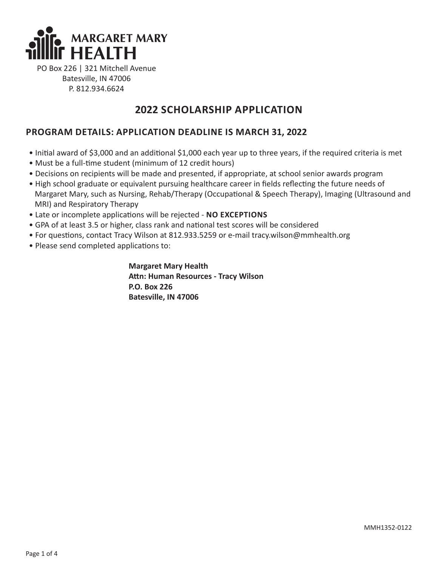

PO Box 226 | 321 Mitchell Avenue Batesville, IN 47006 P. 812.934.6624

## **2022 SCHOLARSHIP APPLICATION**

## **PROGRAM DETAILS: APPLICATION DEADLINE IS MARCH 31, 2022**

- Initial award of \$3,000 and an additional \$1,000 each year up to three years, if the required criteria is met
- Must be a full-time student (minimum of 12 credit hours)
- Decisions on recipients will be made and presented, if appropriate, at school senior awards program
- High school graduate or equivalent pursuing healthcare career in fields reflecting the future needs of Margaret Mary, such as Nursing, Rehab/Therapy (Occupational & Speech Therapy), Imaging (Ultrasound and MRI) and Respiratory Therapy
- Late or incomplete applications will be rejected **NO EXCEPTIONS**
- GPA of at least 3.5 or higher, class rank and national test scores will be considered
- For questions, contact Tracy Wilson at 812.933.5259 or e-mail tracy.wilson@mmhealth.org
- Please send completed applications to:

 **Margaret Mary Health Attn: Human Resources - Tracy Wilson P.O. Box 226 Batesville, IN 47006**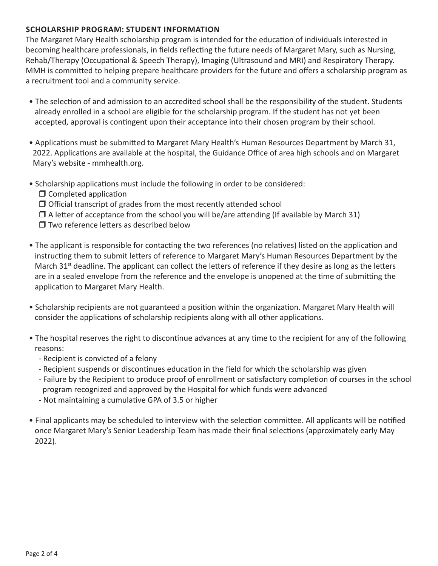#### **SCHOLARSHIP PROGRAM: STUDENT INFORMATION**

The Margaret Mary Health scholarship program is intended for the education of individuals interested in becoming healthcare professionals, in fields reflecting the future needs of Margaret Mary, such as Nursing, Rehab/Therapy (Occupational & Speech Therapy), Imaging (Ultrasound and MRI) and Respiratory Therapy. MMH is committed to helping prepare healthcare providers for the future and offers a scholarship program as a recruitment tool and a community service.

- The selection of and admission to an accredited school shall be the responsibility of the student. Students already enrolled in a school are eligible for the scholarship program. If the student has not yet been accepted, approval is contingent upon their acceptance into their chosen program by their school.
- Applications must be submitted to Margaret Mary Health's Human Resources Department by March 31, 2022. Applications are available at the hospital, the Guidance Office of area high schools and on Margaret Mary's website - mmhealth.org.
- Scholarship applications must include the following in order to be considered:
	- $\Box$  Completed application
	- $\Box$  Official transcript of grades from the most recently attended school
	- $\Box$  A letter of acceptance from the school you will be/are attending (If available by March 31)
	- $\Box$  Two reference letters as described below
- The applicant is responsible for contacting the two references (no relatives) listed on the application and instructing them to submit letters of reference to Margaret Mary's Human Resources Department by the March  $31<sup>st</sup>$  deadline. The applicant can collect the letters of reference if they desire as long as the letters are in a sealed envelope from the reference and the envelope is unopened at the time of submitting the application to Margaret Mary Health.
- Scholarship recipients are not guaranteed a position within the organization. Margaret Mary Health will consider the applications of scholarship recipients along with all other applications.
- The hospital reserves the right to discontinue advances at any time to the recipient for any of the following reasons:
	- Recipient is convicted of a felony
	- Recipient suspends or discontinues education in the field for which the scholarship was given
	- Failure by the Recipient to produce proof of enrollment or satisfactory completion of courses in the school program recognized and approved by the Hospital for which funds were advanced
	- Not maintaining a cumulative GPA of 3.5 or higher
- Final applicants may be scheduled to interview with the selection committee. All applicants will be notified once Margaret Mary's Senior Leadership Team has made their final selections (approximately early May 2022).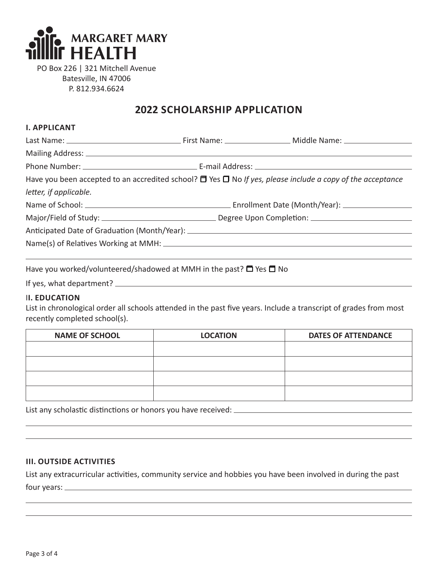

PO Box 226 | 321 Mitchell Avenue Batesville, IN 47006 P. 812.934.6624

# **2022 SCHOLARSHIP APPLICATION**

### **I. APPLICANT**

| Have you been accepted to an accredited school? $\Box$ Yes $\Box$ No If yes, please include a copy of the acceptance |  |  |  |  |  |
|----------------------------------------------------------------------------------------------------------------------|--|--|--|--|--|
| letter, if applicable.                                                                                               |  |  |  |  |  |
|                                                                                                                      |  |  |  |  |  |
|                                                                                                                      |  |  |  |  |  |
|                                                                                                                      |  |  |  |  |  |
|                                                                                                                      |  |  |  |  |  |
|                                                                                                                      |  |  |  |  |  |

Have you worked/volunteered/shadowed at MMH in the past?  $\Box$  Yes  $\Box$  No

If yes, what department?

## I**I. EDUCATION**

List in chronological order all schools attended in the past five years. Include a transcript of grades from most recently completed school(s).

| <b>NAME OF SCHOOL</b> | <b>LOCATION</b> | <b>DATES OF ATTENDANCE</b> |
|-----------------------|-----------------|----------------------------|
|                       |                 |                            |
|                       |                 |                            |
|                       |                 |                            |
|                       |                 |                            |

List any scholastic distinctions or honors you have received:

## **III. OUTSIDE ACTIVITIES**

List any extracurricular activities, community service and hobbies you have been involved in during the past four years: